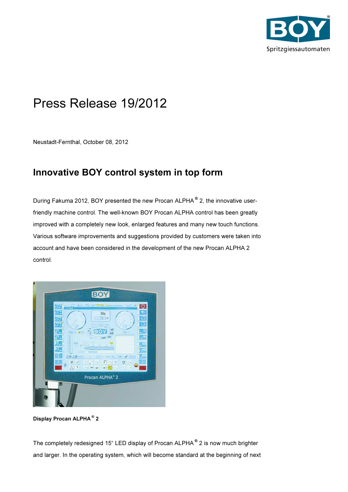

## Press Release 19/2012

Neustadt-Fernthal, October 08, 2012

## Innovative BOY control system in top form

During Fakuma 2012, BOY presented the new Procan ALPHA<sup>®</sup> 2, the innovative userfriendly machine control. The well-known BOY Procan ALPHA control has been greatly improved with a completely new look, enlarged features and many new touch functions. Various software improvements and suggestions provided by customers were taken into account and have been considered in the development of the new Procan ALPHA 2 control.



Display Procan ALPHA ® 2

The completely redesigned 15" LED display of Procan ALPHA ® 2 is now much brighter and larger. In the operating system, which will become standard at the beginning of next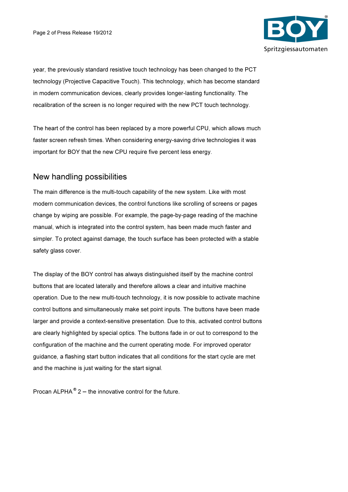

year, the previously standard resistive touch technology has been changed to the PCT technology (Projective Capacitive Touch). This technology, which has become standard in modern communication devices, clearly provides longer-lasting functionality. The recalibration of the screen is no longer required with the new PCT touch technology.

The heart of the control has been replaced by a more powerful CPU, which allows much faster screen refresh times. When considering energy-saving drive technologies it was important for BOY that the new CPU require five percent less energy.

## New handling possibilities

The main difference is the multi-touch capability of the new system. Like with most modern communication devices, the control functions like scrolling of screens or pages change by wiping are possible. For example, the page-by-page reading of the machine manual, which is integrated into the control system, has been made much faster and simpler. To protect against damage, the touch surface has been protected with a stable safety glass cover.

The display of the BOY control has always distinguished itself by the machine control buttons that are located laterally and therefore allows a clear and intuitive machine operation. Due to the new multi-touch technology, it is now possible to activate machine control buttons and simultaneously make set point inputs. The buttons have been made larger and provide a context-sensitive presentation. Due to this, activated control buttons are clearly highlighted by special optics. The buttons fade in or out to correspond to the configuration of the machine and the current operating mode. For improved operator guidance, a flashing start button indicates that all conditions for the start cycle are met and the machine is just waiting for the start signal.

Procan ALPHA $^{\circ}$  2 – the innovative control for the future.